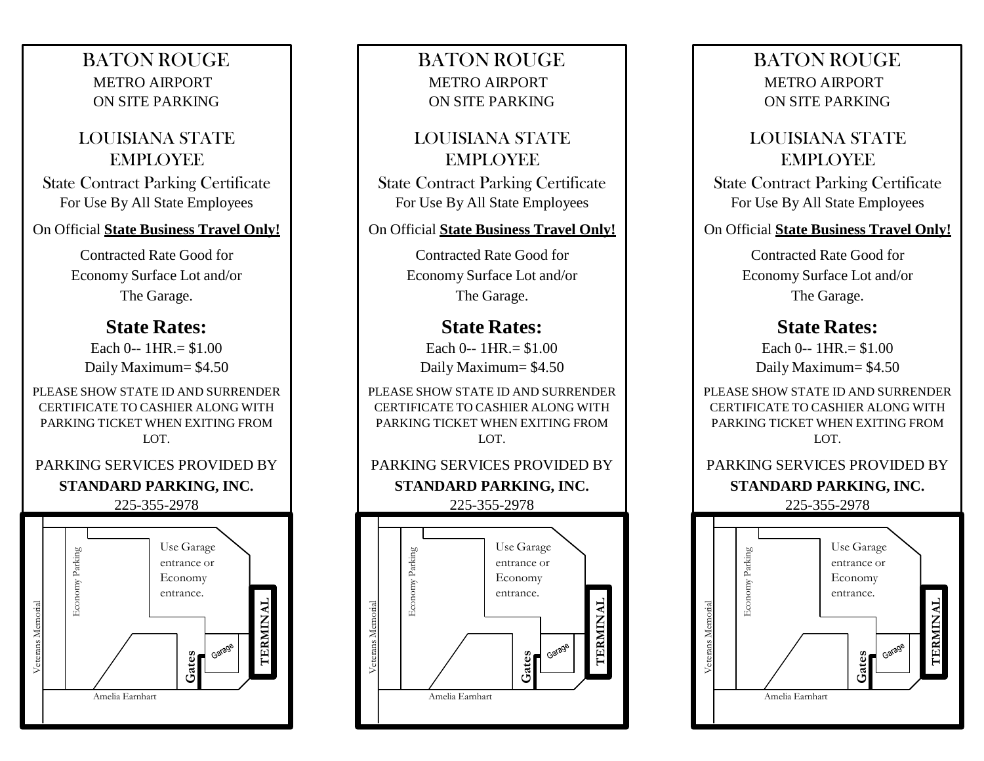## BATON ROUGE METRO AIRPORT ON SITE PARKING

## LOUISIANA STATE EMPLOYEE

State Contract Parking Certificate For Use By All State Employees

#### On Official **State Business Travel Only!**

Contracted Rate Good for Economy Surface Lot and/or The Garage.

### **State Rates:**

Each  $0 - 1$  HR  $= $1.00$ Daily Maximum= \$4.50

PLEASE SHOW STATE ID AND SURRENDER CERTIFICATE TO CASHIER ALONG WITH PARKING TICKET WHEN EXITING FROM LOT.

#### PARKING SERVICES PROVIDED BY **STANDARD PARKING, INC.**  225-355-2978



### BATON ROUGE METRO AIRPORT ON SITE PARKING

LOUISIANA STATE EMPLOYEE State Contract Parking Certificate

For Use By All State Employees

#### On Official **State Business Travel Only!**

Contracted Rate Good for Economy Surface Lot and/or The Garage.

## **State Rates:**

Each  $0 - 1$  HR  $= $1.00$ Daily Maximum= \$4.50

PLEASE SHOW STATE ID AND SURRENDER CERTIFICATE TO CASHIER ALONG WITH PARKING TICKET WHEN EXITING FROM LOT.

# PARKING SERVICES PROVIDED BY **STANDARD PARKING, INC.**

225-355-2978



### BATON ROUGE METRO AIRPORT ON SITE PARKING

## LOUISIANA STATE EMPLOYEE

State Contract Parking Certificate For Use By All State Employees

#### On Official **State Business Travel Only!**

Contracted Rate Good for Economy Surface Lot and/or The Garage.

## **State Rates:**

Each  $0 - 1HR = $1.00$ Daily Maximum= \$4.50

PLEASE SHOW STATE ID AND SURRENDER CERTIFICATE TO CASHIER ALONG WITH PARKING TICKET WHEN EXITING FROM LOT.

## PARKING SERVICES PROVIDED BY **STANDARD PARKING, INC.**

225-355-2978